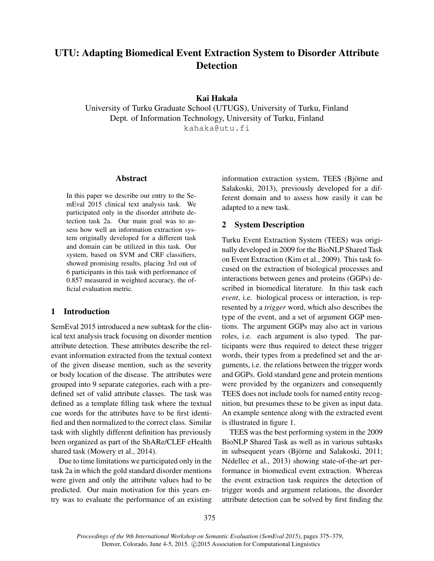# UTU: Adapting Biomedical Event Extraction System to Disorder Attribute **Detection**

# Kai Hakala

University of Turku Graduate School (UTUGS), University of Turku, Finland Dept. of Information Technology, University of Turku, Finland kahaka@utu.fi

#### Abstract

In this paper we describe our entry to the SemEval 2015 clinical text analysis task. We participated only in the disorder attribute detection task 2a. Our main goal was to assess how well an information extraction system originally developed for a different task and domain can be utilized in this task. Our system, based on SVM and CRF classifiers, showed promising results, placing 3rd out of 6 participants in this task with performance of 0.857 measured in weighted accuracy, the official evaluation metric.

# 1 Introduction

SemEval 2015 introduced a new subtask for the clinical text analysis track focusing on disorder mention attribute detection. These attributes describe the relevant information extracted from the textual context of the given disease mention, such as the severity or body location of the disease. The attributes were grouped into 9 separate categories, each with a predefined set of valid attribute classes. The task was defined as a template filling task where the textual cue words for the attributes have to be first identified and then normalized to the correct class. Similar task with slightly different definition has previously been organized as part of the ShARe/CLEF eHealth shared task (Mowery et al., 2014).

Due to time limitations we participated only in the task 2a in which the gold standard disorder mentions were given and only the attribute values had to be predicted. Our main motivation for this years entry was to evaluate the performance of an existing information extraction system, TEES (Björne and Salakoski, 2013), previously developed for a different domain and to assess how easily it can be adapted to a new task.

# 2 System Description

Turku Event Extraction System (TEES) was originally developed in 2009 for the BioNLP Shared Task on Event Extraction (Kim et al., 2009). This task focused on the extraction of biological processes and interactions between genes and proteins (GGPs) described in biomedical literature. In this task each *event*, i.e. biological process or interaction, is represented by a *trigger* word, which also describes the type of the event, and a set of argument GGP mentions. The argument GGPs may also act in various roles, i.e. each argument is also typed. The participants were thus required to detect these trigger words, their types from a predefined set and the arguments, i.e. the relations between the trigger words and GGPs. Gold standard gene and protein mentions were provided by the organizers and consequently TEES does not include tools for named entity recognition, but presumes these to be given as input data. An example sentence along with the extracted event is illustrated in figure 1.

TEES was the best performing system in the 2009 BioNLP Shared Task as well as in various subtasks in subsequent years (Björne and Salakoski, 2011; Nédellec et al., 2013) showing state-of-the-art performance in biomedical event extraction. Whereas the event extraction task requires the detection of trigger words and argument relations, the disorder attribute detection can be solved by first finding the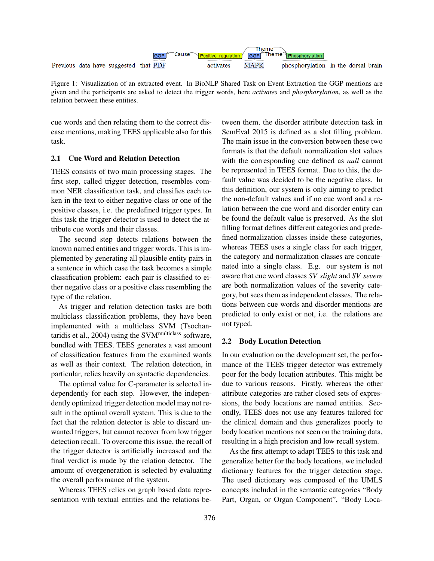

Figure 1: Visualization of an extracted event. In BioNLP Shared Task on Event Extraction the GGP mentions are given and the participants are asked to detect the trigger words, here *activates* and *phosphorylation*, as well as the relation between these entities.

cue words and then relating them to the correct disease mentions, making TEES applicable also for this task.

#### 2.1 Cue Word and Relation Detection

TEES consists of two main processing stages. The first step, called trigger detection, resembles common NER classification task, and classifies each token in the text to either negative class or one of the positive classes, i.e. the predefined trigger types. In this task the trigger detector is used to detect the attribute cue words and their classes.

The second step detects relations between the known named entities and trigger words. This is implemented by generating all plausible entity pairs in a sentence in which case the task becomes a simple classification problem: each pair is classified to either negative class or a positive class resembling the type of the relation.

As trigger and relation detection tasks are both multiclass classification problems, they have been implemented with a multiclass SVM (Tsochantaridis et al.,  $2004$ ) using the SVM<sup>multiclass</sup> software, bundled with TEES. TEES generates a vast amount of classification features from the examined words as well as their context. The relation detection, in particular, relies heavily on syntactic dependencies.

The optimal value for C-parameter is selected independently for each step. However, the independently optimized trigger detection model may not result in the optimal overall system. This is due to the fact that the relation detector is able to discard unwanted triggers, but cannot recover from low trigger detection recall. To overcome this issue, the recall of the trigger detector is artificially increased and the final verdict is made by the relation detector. The amount of overgeneration is selected by evaluating the overall performance of the system.

Whereas TEES relies on graph based data representation with textual entities and the relations between them, the disorder attribute detection task in SemEval 2015 is defined as a slot filling problem. The main issue in the conversion between these two formats is that the default normalization slot values with the corresponding cue defined as *null* cannot be represented in TEES format. Due to this, the default value was decided to be the negative class. In this definition, our system is only aiming to predict the non-default values and if no cue word and a relation between the cue word and disorder entity can be found the default value is preserved. As the slot filling format defines different categories and predefined normalization classes inside these categories, whereas TEES uses a single class for each trigger, the category and normalization classes are concatenated into a single class. E.g. our system is not aware that cue word classes *SV slight* and *SV severe* are both normalization values of the severity category, but sees them as independent classes. The relations between cue words and disorder mentions are predicted to only exist or not, i.e. the relations are not typed.

## 2.2 Body Location Detection

In our evaluation on the development set, the performance of the TEES trigger detector was extremely poor for the body location attributes. This might be due to various reasons. Firstly, whereas the other attribute categories are rather closed sets of expressions, the body locations are named entities. Secondly, TEES does not use any features tailored for the clinical domain and thus generalizes poorly to body location mentions not seen on the training data, resulting in a high precision and low recall system.

As the first attempt to adapt TEES to this task and generalize better for the body locations, we included dictionary features for the trigger detection stage. The used dictionary was composed of the UMLS concepts included in the semantic categories "Body Part, Organ, or Organ Component", "Body Loca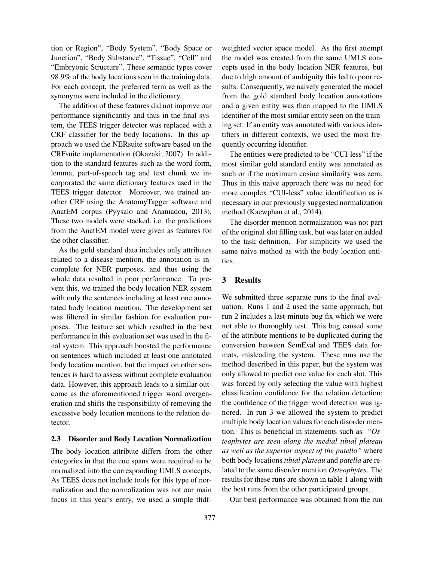tion or Region", "Body System", "Body Space or Junction", "Body Substance", "Tissue", "Cell" and "Embryonic Structure". These semantic types cover 98.9% of the body locations seen in the training data. For each concept, the preferred term as well as the synonyms were included in the dictionary.

The addition of these features did not improve our performance significantly and thus in the final system, the TEES trigger detector was replaced with a CRF classifier for the body locations. In this approach we used the NERsuite software based on the CRFsuite implementation (Okazaki, 2007). In addition to the standard features such as the word form, lemma, part-of-speech tag and text chunk we incorporated the same dictionary features used in the TEES trigger detector. Moreover, we trained another CRF using the AnatomyTagger software and AnatEM corpus (Pyysalo and Ananiadou, 2013). These two models were stacked, i.e. the predictions from the AnatEM model were given as features for the other classifier.

As the gold standard data includes only attributes related to a disease mention, the annotation is incomplete for NER purposes, and thus using the whole data resulted in poor performance. To prevent this, we trained the body location NER system with only the sentences including at least one annotated body location mention. The development set was filtered in similar fashion for evaluation purposes. The feature set which resulted in the best performance in this evaluation set was used in the final system. This approach boosted the performance on sentences which included at least one annotated body location mention, but the impact on other sentences is hard to assess without complete evaluation data. However, this approach leads to a similar outcome as the aforementioned trigger word overgeneration and shifts the responsibility of removing the excessive body location mentions to the relation detector.

#### 2.3 Disorder and Body Location Normalization

The body location attribute differs from the other categories in that the cue spans were required to be normalized into the corresponding UMLS concepts. As TEES does not include tools for this type of normalization and the normalization was not our main focus in this year's entry, we used a simple tfidfweighted vector space model. As the first attempt the model was created from the same UMLS concepts used in the body location NER features, but due to high amount of ambiguity this led to poor results. Consequently, we naively generated the model from the gold standard body location annotations and a given entity was then mapped to the UMLS identifier of the most similar entity seen on the training set. If an entity was annotated with various identifiers in different contexts, we used the most frequently occurring identifier.

The entities were predicted to be "CUI-less" if the most similar gold standard entity was annotated as such or if the maximum cosine similarity was zero. Thus in this naive approach there was no need for more complex "CUI-less" value identification as is necessary in our previously suggested normalization method (Kaewphan et al., 2014).

The disorder mention normalization was not part of the original slot filling task, but was later on added to the task definition. For simplicity we used the same naive method as with the body location entities.

## 3 Results

We submitted three separate runs to the final evaluation. Runs 1 and 2 used the same approach, but run 2 includes a last-minute bug fix which we were not able to thoroughly test. This bug caused some of the attribute mentions to be duplicated during the conversion between SemEval and TEES data formats, misleading the system. These runs use the method described in this paper, but the system was only allowed to predict one value for each slot. This was forced by only selecting the value with highest classification confidence for the relation detection; the confidence of the trigger word detection was ignored. In run 3 we allowed the system to predict multiple body location values for each disorder mention. This is beneficial in statements such as *"Osteophytes are seen along the medial tibial plateau as well as the superior aspect of the patella"* where both body locations *tibial plateau* and *patella* are related to the same disorder mention *Osteophytes*. The results for these runs are shown in table 1 along with the best runs from the other participated groups.

Our best performance was obtained from the run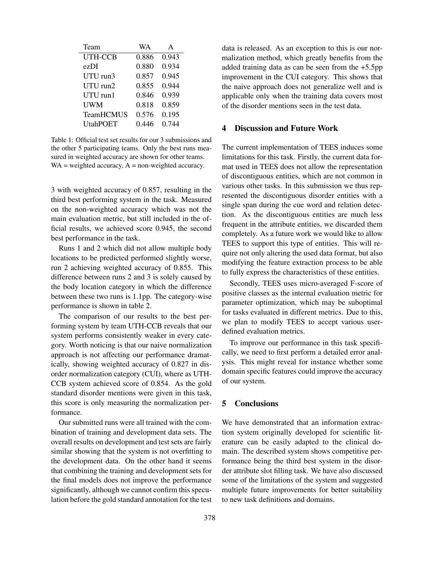| Team            | WA    | A     |
|-----------------|-------|-------|
| UTH-CCB         | 0.886 | 0.943 |
| ezDI            | 0.880 | 0.934 |
| UTU run3        | 0.857 | 0.945 |
| $UTU$ run $2$   | 0.855 | 0.944 |
| $UTU$ run $1$   | 0.846 | 0.939 |
| <b>UWM</b>      | 0.818 | 0.859 |
| TeamHCMUS       | 0.576 | 0.195 |
| <b>UtahPOET</b> | 0.446 | 0.744 |

Table 1: Official test set results for our 3 submissions and the other 5 participating teams. Only the best runs measured in weighted accuracy are shown for other teams.  $WA = weighted accuracy, A = non-weighted accuracy.$ 

3 with weighted accuracy of 0.857, resulting in the third best performing system in the task. Measured on the non-weighted accuracy which was not the main evaluation metric, but still included in the official results, we achieved score 0.945, the second best performance in the task.

Runs 1 and 2 which did not allow multiple body locations to be predicted performed slightly worse, run 2 achieving weighted accuracy of 0.855. This difference between runs 2 and 3 is solely caused by the body location category in which the difference between these two runs is 1.1pp. The category-wise performance is shown in table 2.

The comparison of our results to the best performing system by team UTH-CCB reveals that our system performs consistently weaker in every category. Worth noticing is that our naive normalization approach is not affecting our performance dramatically, showing weighted accuracy of 0.827 in disorder normalization category (CUI), where as UTH-CCB system achieved score of 0.854. As the gold standard disorder mentions were given in this task, this score is only measuring the normalization performance.

Our submitted runs were all trained with the combination of training and development data sets. The overall results on development and test sets are fairly similar showing that the system is not overfitting to the development data. On the other hand it seems that combining the training and development sets for the final models does not improve the performance significantly, although we cannot confirm this speculation before the gold standard annotation for the test data is released. As an exception to this is our normalization method, which greatly benefits from the added training data as can be seen from the +5.5pp improvement in the CUI category. This shows that the naive approach does not generalize well and is applicable only when the training data covers most of the disorder mentions seen in the test data.

# 4 Discussion and Future Work

The current implementation of TEES induces some limitations for this task. Firstly, the current data format used in TEES does not allow the representation of discontiguous entities, which are not common in various other tasks. In this submission we thus represented the discontiguous disorder entities with a single span during the cue word and relation detection. As the discontiguous entities are much less frequent in the attribute entities, we discarded them completely. As a future work we would like to allow TEES to support this type of entities. This will require not only altering the used data format, but also modifying the feature extraction process to be able to fully express the characteristics of these entities.

Secondly, TEES uses micro-averaged F-score of positive classes as the internal evaluation metric for parameter optimization, which may be suboptimal for tasks evaluated in different metrics. Due to this, we plan to modify TEES to accept various userdefined evaluation metrics.

To improve our performance in this task specifically, we need to first perform a detailed error analysis. This might reveal for instance whether some domain specific features could improve the accuracy of our system.

## 5 Conclusions

We have demonstrated that an information extraction system originally developed for scientific literature can be easily adapted to the clinical domain. The described system shows competitive performance being the third best system in the disorder attribute slot filling task. We have also discussed some of the limitations of the system and suggested multiple future improvements for better suitability to new task definitions and domains.